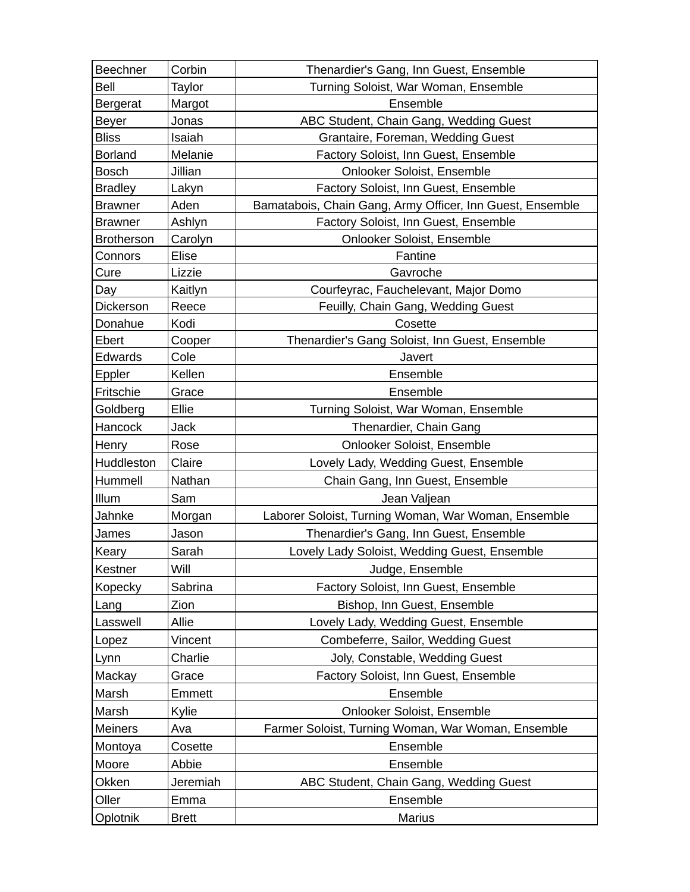| Beechner          | Corbin       | Thenardier's Gang, Inn Guest, Ensemble                    |
|-------------------|--------------|-----------------------------------------------------------|
| Bell              | Taylor       | Turning Soloist, War Woman, Ensemble                      |
| Bergerat          | Margot       | Ensemble                                                  |
| <b>Beyer</b>      | Jonas        | ABC Student, Chain Gang, Wedding Guest                    |
| <b>Bliss</b>      | Isaiah       | Grantaire, Foreman, Wedding Guest                         |
| <b>Borland</b>    | Melanie      | Factory Soloist, Inn Guest, Ensemble                      |
| <b>Bosch</b>      | Jillian      | Onlooker Soloist, Ensemble                                |
| <b>Bradley</b>    | Lakyn        | Factory Soloist, Inn Guest, Ensemble                      |
| <b>Brawner</b>    | Aden         | Bamatabois, Chain Gang, Army Officer, Inn Guest, Ensemble |
| <b>Brawner</b>    | Ashlyn       | Factory Soloist, Inn Guest, Ensemble                      |
| <b>Brotherson</b> | Carolyn      | Onlooker Soloist, Ensemble                                |
| Connors           | Elise        | Fantine                                                   |
| Cure              | Lizzie       | Gavroche                                                  |
| Day               | Kaitlyn      | Courfeyrac, Fauchelevant, Major Domo                      |
| Dickerson         | Reece        | Feuilly, Chain Gang, Wedding Guest                        |
| Donahue           | Kodi         | Cosette                                                   |
| Ebert             | Cooper       | Thenardier's Gang Soloist, Inn Guest, Ensemble            |
| Edwards           | Cole         | Javert                                                    |
| Eppler            | Kellen       | Ensemble                                                  |
| Fritschie         | Grace        | Ensemble                                                  |
| Goldberg          | Ellie        | Turning Soloist, War Woman, Ensemble                      |
| Hancock           | <b>Jack</b>  | Thenardier, Chain Gang                                    |
| Henry             | Rose         | Onlooker Soloist, Ensemble                                |
| Huddleston        | Claire       | Lovely Lady, Wedding Guest, Ensemble                      |
| Hummell           | Nathan       | Chain Gang, Inn Guest, Ensemble                           |
| Illum             | Sam          | Jean Valjean                                              |
| Jahnke            | Morgan       | Laborer Soloist, Turning Woman, War Woman, Ensemble       |
| James             | Jason        | Thenardier's Gang, Inn Guest, Ensemble                    |
| Keary             | Sarah        | Lovely Lady Soloist, Wedding Guest, Ensemble              |
| Kestner           | Will         | Judge, Ensemble                                           |
| Kopecky           | Sabrina      | Factory Soloist, Inn Guest, Ensemble                      |
| Lang              | Zion         | Bishop, Inn Guest, Ensemble                               |
| Lasswell          | Allie        | Lovely Lady, Wedding Guest, Ensemble                      |
| Lopez             | Vincent      | Combeferre, Sailor, Wedding Guest                         |
| Lynn              | Charlie      | Joly, Constable, Wedding Guest                            |
| Mackay            | Grace        | Factory Soloist, Inn Guest, Ensemble                      |
| Marsh             | Emmett       | Ensemble                                                  |
| Marsh             | Kylie        | Onlooker Soloist, Ensemble                                |
| <b>Meiners</b>    | Ava          | Farmer Soloist, Turning Woman, War Woman, Ensemble        |
| Montoya           | Cosette      | Ensemble                                                  |
| Moore             | Abbie        | Ensemble                                                  |
| Okken             | Jeremiah     | ABC Student, Chain Gang, Wedding Guest                    |
| Oller             | Emma         | Ensemble                                                  |
| Oplotnik          | <b>Brett</b> | Marius                                                    |
|                   |              |                                                           |